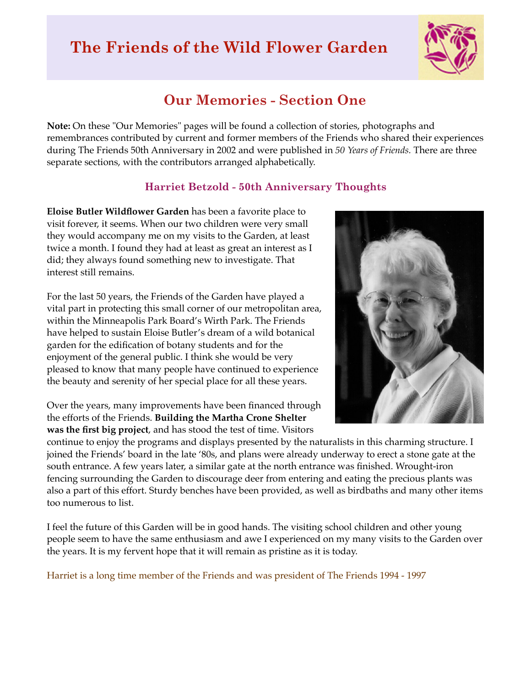# **The Friends of the Wild Flower Garden**



## **Our Memories - Section One**

**Note:** On these "Our Memories" pages will be found a collection of stories, photographs and remembrances contributed by current and former members of the Friends who shared their experiences during The Friends 50th Anniversary in 2002 and were published in *50 Years of Friends.* There are three separate sections, with the contributors arranged alphabetically.

#### **Harriet Betzold - 50th Anniversary Thoughts**

**Eloise Butler Wildflower Garden** has been a favorite place to visit forever, it seems. When our two children were very small they would accompany me on my visits to the Garden, at least twice a month. I found they had at least as great an interest as I did; they always found something new to investigate. That interest still remains.

For the last 50 years, the Friends of the Garden have played a vital part in protecting this small corner of our metropolitan area, within the Minneapolis Park Board's Wirth Park. The Friends have helped to sustain Eloise Butler's dream of a wild botanical garden for the edification of botany students and for the enjoyment of the general public. I think she would be very pleased to know that many people have continued to experience the beauty and serenity of her special place for all these years.

Over the years, many improvements have been financed through the efforts of the Friends. **Building the Martha Crone Shelter was the first big project**, and has stood the test of time. Visitors



continue to enjoy the programs and displays presented by the naturalists in this charming structure. I joined the Friends' board in the late '80s, and plans were already underway to erect a stone gate at the south entrance. A few years later, a similar gate at the north entrance was finished. Wrought-iron fencing surrounding the Garden to discourage deer from entering and eating the precious plants was also a part of this effort. Sturdy benches have been provided, as well as birdbaths and many other items too numerous to list.

I feel the future of this Garden will be in good hands. The visiting school children and other young people seem to have the same enthusiasm and awe I experienced on my many visits to the Garden over the years. It is my fervent hope that it will remain as pristine as it is today.

Harriet is a long time member of the Friends and was president of The Friends 1994 - 1997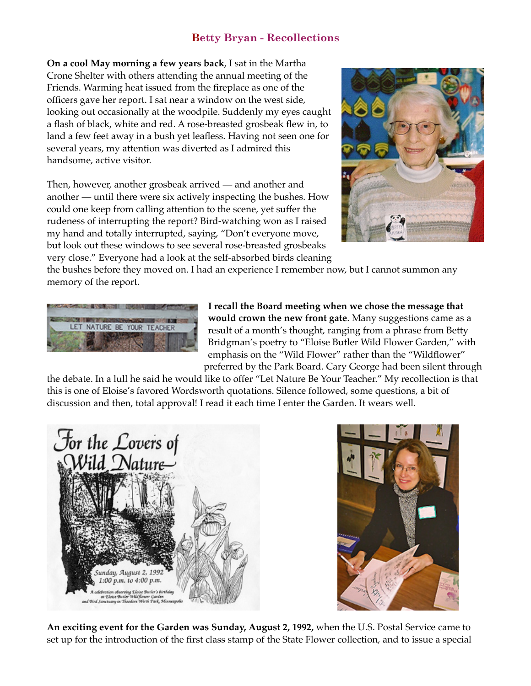#### **Betty Bryan - Recollections**

**On a cool May morning a few years back**, I sat in the Martha Crone Shelter with others attending the annual meeting of the Friends. Warming heat issued from the fireplace as one of the officers gave her report. I sat near a window on the west side, looking out occasionally at the woodpile. Suddenly my eyes caught a flash of black, white and red. A rose-breasted grosbeak flew in, to land a few feet away in a bush yet leafless. Having not seen one for several years, my attention was diverted as I admired this handsome, active visitor.

Then, however, another grosbeak arrived — and another and another — until there were six actively inspecting the bushes. How could one keep from calling attention to the scene, yet suffer the rudeness of interrupting the report? Bird-watching won as I raised my hand and totally interrupted, saying, "Don't everyone move, but look out these windows to see several rose-breasted grosbeaks very close." Everyone had a look at the self-absorbed birds cleaning



the bushes before they moved on. I had an experience I remember now, but I cannot summon any memory of the report.



**I recall the Board meeting when we chose the message that would crown the new front gate**. Many suggestions came as a result of a month's thought, ranging from a phrase from Betty Bridgman's poetry to "Eloise Butler Wild Flower Garden," with emphasis on the "Wild Flower" rather than the "Wildflower" preferred by the Park Board. Cary George had been silent through

the debate. In a lull he said he would like to offer "Let Nature Be Your Teacher." My recollection is that this is one of Eloise's favored Wordsworth quotations. Silence followed, some questions, a bit of discussion and then, total approval! I read it each time I enter the Garden. It wears well.





**An exciting event for the Garden was Sunday, August 2, 1992,** when the U.S. Postal Service came to set up for the introduction of the first class stamp of the State Flower collection, and to issue a special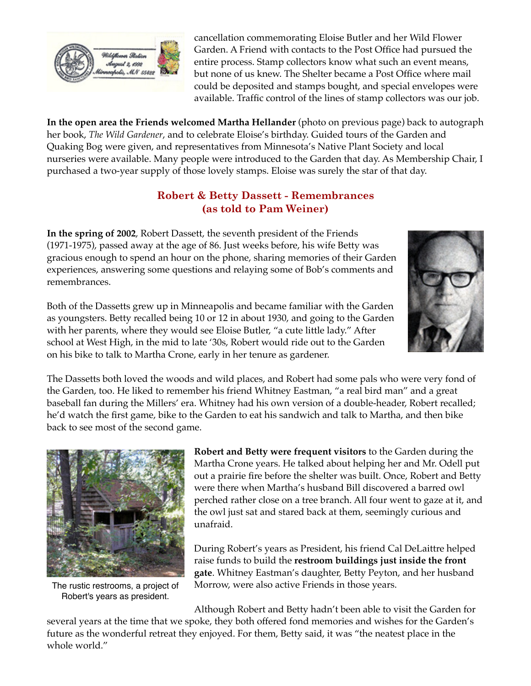

cancellation commemorating Eloise Butler and her Wild Flower Garden. A Friend with contacts to the Post Office had pursued the entire process. Stamp collectors know what such an event means, but none of us knew. The Shelter became a Post Office where mail could be deposited and stamps bought, and special envelopes were available. Traffic control of the lines of stamp collectors was our job.

**In the open area the Friends welcomed Martha Hellander** (photo on previous page) back to autograph her book, *The Wild Gardener*, and to celebrate Eloise's birthday. Guided tours of the Garden and Quaking Bog were given, and representatives from Minnesota's Native Plant Society and local nurseries were available. Many people were introduced to the Garden that day. As Membership Chair, I purchased a two-year supply of those lovely stamps. Eloise was surely the star of that day.

### **Robert & Betty Dassett - Remembrances (as told to Pam Weiner)**

**In the spring of 2002**, Robert Dassett, the seventh president of the Friends (1971-1975), passed away at the age of 86. Just weeks before, his wife Betty was gracious enough to spend an hour on the phone, sharing memories of their Garden experiences, answering some questions and relaying some of Bob's comments and remembrances.



Both of the Dassetts grew up in Minneapolis and became familiar with the Garden as youngsters. Betty recalled being 10 or 12 in about 1930, and going to the Garden with her parents, where they would see Eloise Butler, "a cute little lady." After school at West High, in the mid to late '30s, Robert would ride out to the Garden on his bike to talk to Martha Crone, early in her tenure as gardener.

The Dassetts both loved the woods and wild places, and Robert had some pals who were very fond of the Garden, too. He liked to remember his friend Whitney Eastman, "a real bird man" and a great baseball fan during the Millers' era. Whitney had his own version of a double-header, Robert recalled; he'd watch the first game, bike to the Garden to eat his sandwich and talk to Martha, and then bike back to see most of the second game.



The rustic restrooms, a project of Robert's years as president.

**Robert and Betty were frequent visitors** to the Garden during the Martha Crone years. He talked about helping her and Mr. Odell put out a prairie fire before the shelter was built. Once, Robert and Betty were there when Martha's husband Bill discovered a barred owl perched rather close on a tree branch. All four went to gaze at it, and the owl just sat and stared back at them, seemingly curious and unafraid.

During Robert's years as President, his friend Cal DeLaittre helped raise funds to build the **restroom buildings just inside the front gate**. Whitney Eastman's daughter, Betty Peyton, and her husband Morrow, were also active Friends in those years.

Although Robert and Betty hadn't been able to visit the Garden for several years at the time that we spoke, they both offered fond memories and wishes for the Garden's future as the wonderful retreat they enjoyed. For them, Betty said, it was "the neatest place in the whole world."